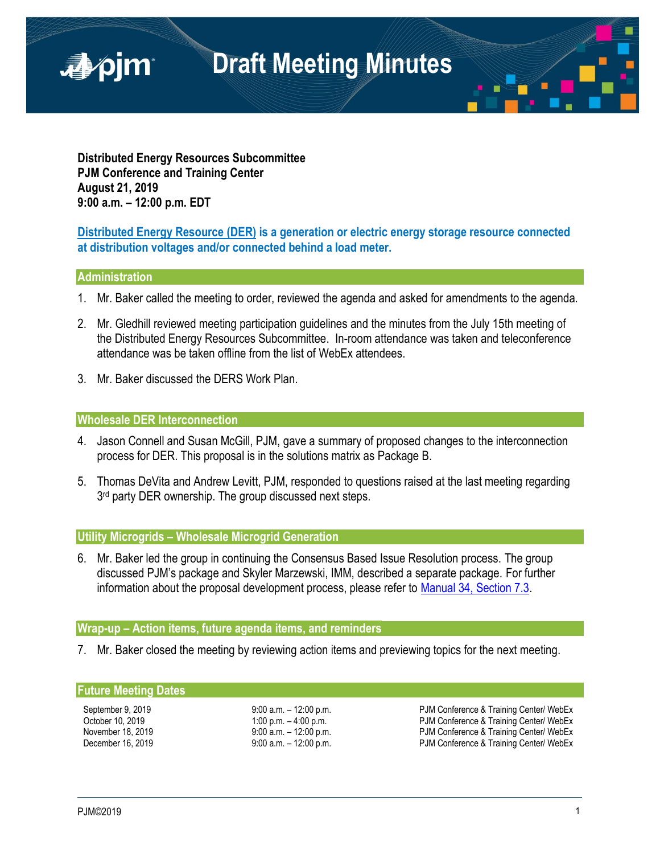

**Distributed Energy Resources Subcommittee PJM Conference and Training Center August 21, 2019 9:00 a.m. – 12:00 p.m. EDT**

## **Distributed Energy Resource (DER) is a generation or electric energy storage resource connected at distribution voltages and/or connected behind a load meter.**

#### **Administration**

- 1. Mr. Baker called the meeting to order, reviewed the agenda and asked for amendments to the agenda.
- 2. Mr. Gledhill reviewed meeting participation guidelines and the minutes from the July 15th meeting of the Distributed Energy Resources Subcommittee. In-room attendance was taken and teleconference attendance was be taken offline from the list of WebEx attendees.
- 3. Mr. Baker discussed the DERS Work Plan.

### **Wholesale DER Interconnection**

- 4. Jason Connell and Susan McGill, PJM, gave a summary of proposed changes to the interconnection process for DER. This proposal is in the solutions matrix as Package B.
- 5. Thomas DeVita and Andrew Levitt, PJM, responded to questions raised at the last meeting regarding 3<sup>rd</sup> party DER ownership. The group discussed next steps.

#### **Utility Microgrids – Wholesale Microgrid Generation**

6. Mr. Baker led the group in continuing the Consensus Based Issue Resolution process. The group discussed PJM's package and Skyler Marzewski, IMM, described a separate package. For further information about the proposal development process, please refer to [Manual 34, Section 7.3.](https://www.pjm.com/-/media/documents/manuals/m34.ashx)

### **Wrap-up – Action items, future agenda items, and reminders**

7. Mr. Baker closed the meeting by reviewing action items and previewing topics for the next meeting.

#### **Future Meeting Dates**

September 9, 2019 **9:00 a.m.** – 12:00 p.m. **PJM Conference & Training Center/ WebEx** October 10, 2019 1:00 p.m. – 4:00 p.m. – 4:00 p.m. PJM Conference & Training Center/ WebEx November 18, 2019 **19:00 a.m.** – 12:00 p.m. **PJM Conference & Training Center/ WebEx** December 16, 2019 **19:00 a.m.** – 12:00 p.m. **PJM Conference & Training Center/ WebEx**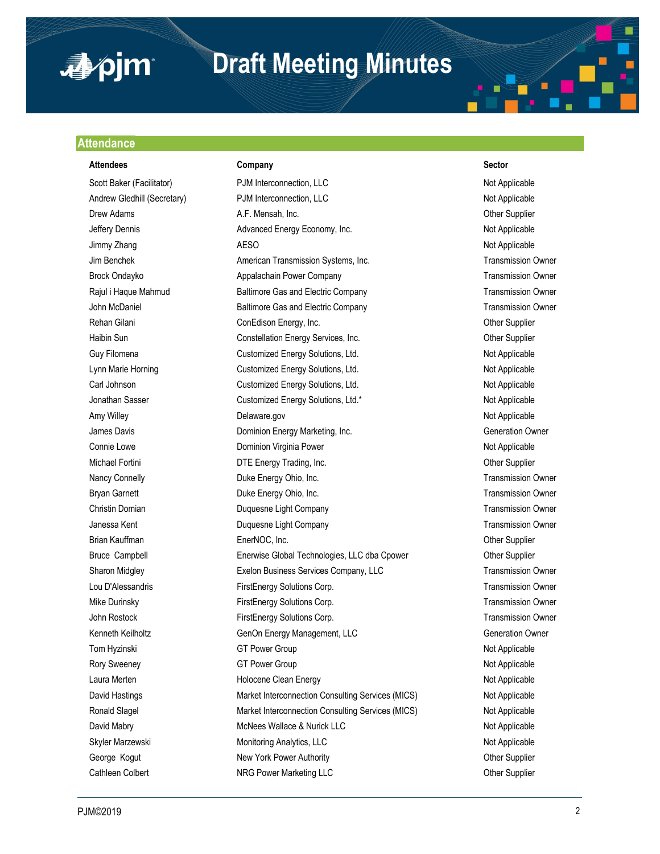

## **Draft Meeting Minutes**

#### **Attendance**

#### **Attendees Company Sector**

Scott Baker (Facilitator) **PJM Interconnection, LLC** Not Applicable Not Applicable Andrew Gledhill (Secretary) **PJM Interconnection, LLC** Not Applicable Not Applicable Drew Adams **A.F. Mensah, Inc.** Character Adams Other Supplier Jeffery Dennis **Advanced Energy Economy, Inc.** Not Applicable Not Applicable Jimmy Zhang Not Applicable AESO ACCOMPTED AGES AND ACCOUNT ASSOCIATED AT A SAMPLE ASSOCIATED AT A SAMPLE ASSOCIATED AT A SAMPLE ASSOCIATED AT A SAMPLE ASSOCIATED AT A SAMPLE ASSOCIATED AT A SAMPLE ASSOCIATED AT A SAMPLE AS Jim Benchek American Transmission Systems, Inc. Transmission Owner Brock Ondayko **Appalachain Power Company Company** Transmission Owner Rajul i Haque Mahmud **Baltimore Gas and Electric Company** Transmission Owner John McDaniel **Baltimore Gas and Electric Company** Transmission Owner Rehan Gilani **ConEdison Energy, Inc.** ConEdison Energy, Inc. Channel Cone Cupplier Haibin Sun Constellation Energy Services, Inc. The Constellation Energy Services, Inc. Guy Filomena **Customized Energy Solutions, Ltd.** Not Applicable Not Applicable Lynn Marie Horning Customized Energy Solutions, Ltd. Not Applicable Customized Energy Solutions, Ltd. Carl Johnson **Customized Energy Solutions, Ltd.** Not Applicable Not Applicable Jonathan Sasser **Customized Energy Solutions, Ltd.\*** Not Applicable Not Applicable Amy Willey **Not Applicable** Delaware.gov **Not Applicable** Not Applicable James Davis **Dominion Energy Marketing, Inc.** Channel Commercial Commercial Commercial Commercial Commercial Comme Connie Lowe **Connice Lowe** Dominion Virginia Power **Not Applicable** Not Applicable Michael Fortini **DTE** Energy Trading, Inc. **CHACAL COMEXAGAGE COMEXAGAGE COMEXAGAGE COMEXAGE COMEXAGE COMEXAGE COMEXAGE COMEXAGE COMEXAGE COMEXAGE COMEXAGE COMEXAGE COMEXAGE COMEXAGE COMEXAGE COMEXAGE COMEXAGE COMEXAGE COM** Nancy Connelly **Nancy Connelly Duke Energy Ohio, Inc.** Transmission Owner Bryan Garnett **Example 2** Duke Energy Ohio, Inc. **Bryan Channes Constructs Constructs** Transmission Owner Christin Domian **Christian Company** Duquesne Light Company **Transmission Owner** Christian Dunner Company Transmission Owner Janessa Kent **Markor Company Company Company Company** Company Company Transmission Owner Brian Kauffman **EnerNOC, Inc.** Communication Communication Communication Communication Communication Communication Bruce Campbell Enerwise Global Technologies, LLC dba Cpower Other Supplier Sharon Midgley **Exelon Business Services Company, LLC** Transmission Owner Lou D'Alessandris FirstEnergy Solutions Corp. Transmission Owner Mike Durinsky FirstEnergy Solutions Corp. Transmission Owner John Rostock FirstEnergy Solutions Corp. Transmission Owner Kenneth Keilholtz **GenOn Energy Management, LLC** Generation Owner Tom Hyzinski GT Power Group Not Applicable Not Applicable Rory Sweeney GT Power Group Not Applicable Laura Merten **Not Applicable** Holocene Clean Energy Not Applicable Not Applicable David Hastings The Market Interconnection Consulting Services (MICS) Not Applicable Ronald Slagel **Market Interconnection Consulting Services (MICS)** Not Applicable David Mabry **MacNees Wallace & Nurick LLC** Not Applicable Not Applicable Skyler Marzewski **Monitoring Analytics, LLC** Not Applicable Not Applicable George Kogut **New York Power Authority New York Power Authority New York Power Authority Channel Supplier** Cathleen Colbert **NRG Power Marketing LLC Cathleen Colbert Supplier** Other Supplier